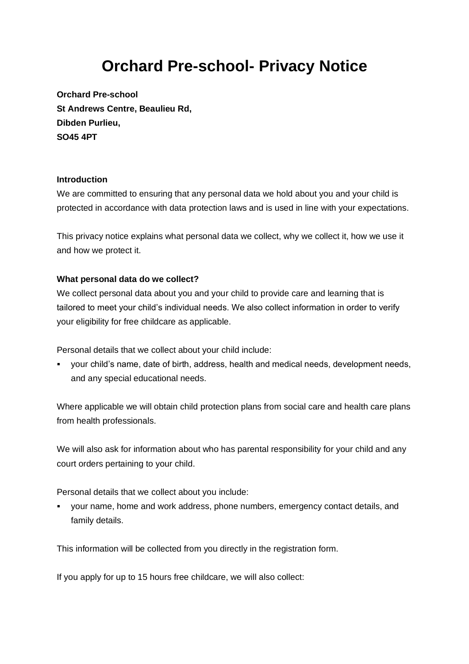# **Orchard Pre-school- Privacy Notice**

**Orchard Pre-school St Andrews Centre, Beaulieu Rd, Dibden Purlieu, SO45 4PT**

### **Introduction**

We are committed to ensuring that any personal data we hold about you and your child is protected in accordance with data protection laws and is used in line with your expectations.

This privacy notice explains what personal data we collect, why we collect it, how we use it and how we protect it.

### **What personal data do we collect?**

We collect personal data about you and your child to provide care and learning that is tailored to meet your child's individual needs. We also collect information in order to verify your eligibility for free childcare as applicable.

Personal details that we collect about your child include:

▪ your child's name, date of birth, address, health and medical needs, development needs, and any special educational needs.

Where applicable we will obtain child protection plans from social care and health care plans from health professionals.

We will also ask for information about who has parental responsibility for your child and any court orders pertaining to your child.

Personal details that we collect about you include:

▪ your name, home and work address, phone numbers, emergency contact details, and family details.

This information will be collected from you directly in the registration form.

If you apply for up to 15 hours free childcare, we will also collect: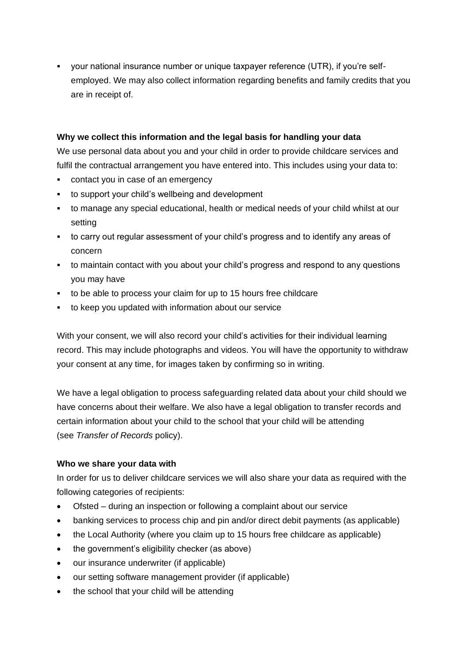▪ your national insurance number or unique taxpayer reference (UTR), if you're selfemployed. We may also collect information regarding benefits and family credits that you are in receipt of.

### **Why we collect this information and the legal basis for handling your data**

We use personal data about you and your child in order to provide childcare services and fulfil the contractual arrangement you have entered into. This includes using your data to:

- contact you in case of an emergency
- to support your child's wellbeing and development
- to manage any special educational, health or medical needs of your child whilst at our setting
- to carry out regular assessment of your child's progress and to identify any areas of concern
- to maintain contact with you about your child's progress and respond to any questions you may have
- to be able to process your claim for up to 15 hours free childcare
- to keep you updated with information about our service

With your consent, we will also record your child's activities for their individual learning record. This may include photographs and videos. You will have the opportunity to withdraw your consent at any time, for images taken by confirming so in writing.

We have a legal obligation to process safeguarding related data about your child should we have concerns about their welfare. We also have a legal obligation to transfer records and certain information about your child to the school that your child will be attending (see *Transfer of Records* policy).

# **Who we share your data with**

In order for us to deliver childcare services we will also share your data as required with the following categories of recipients:

- Ofsted during an inspection or following a complaint about our service
- banking services to process chip and pin and/or direct debit payments (as applicable)
- the Local Authority (where you claim up to 15 hours free childcare as applicable)
- the government's eligibility checker (as above)
- our insurance underwriter (if applicable)
- our setting software management provider (if applicable)
- the school that your child will be attending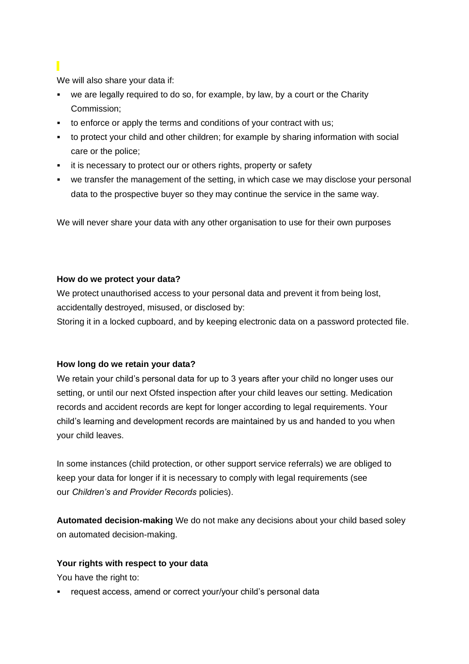We will also share your data if:

- we are legally required to do so, for example, by law, by a court or the Charity Commission;
- to enforce or apply the terms and conditions of your contract with us;
- to protect your child and other children; for example by sharing information with social care or the police;
- **EXEDER** it is necessary to protect our or others rights, property or safety
- we transfer the management of the setting, in which case we may disclose your personal data to the prospective buyer so they may continue the service in the same way.

We will never share your data with any other organisation to use for their own purposes

### **How do we protect your data?**

We protect unauthorised access to your personal data and prevent it from being lost, accidentally destroyed, misused, or disclosed by:

Storing it in a locked cupboard, and by keeping electronic data on a password protected file.

# **How long do we retain your data?**

We retain your child's personal data for up to 3 years after your child no longer uses our setting, or until our next Ofsted inspection after your child leaves our setting. Medication records and accident records are kept for longer according to legal requirements. Your child's learning and development records are maintained by us and handed to you when your child leaves.

In some instances (child protection, or other support service referrals) we are obliged to keep your data for longer if it is necessary to comply with legal requirements (see our *Children's and Provider Records* policies).

**Automated decision-making** We do not make any decisions about your child based soley on automated decision-making.

# **Your rights with respect to your data**

You have the right to:

▪ request access, amend or correct your/your child's personal data